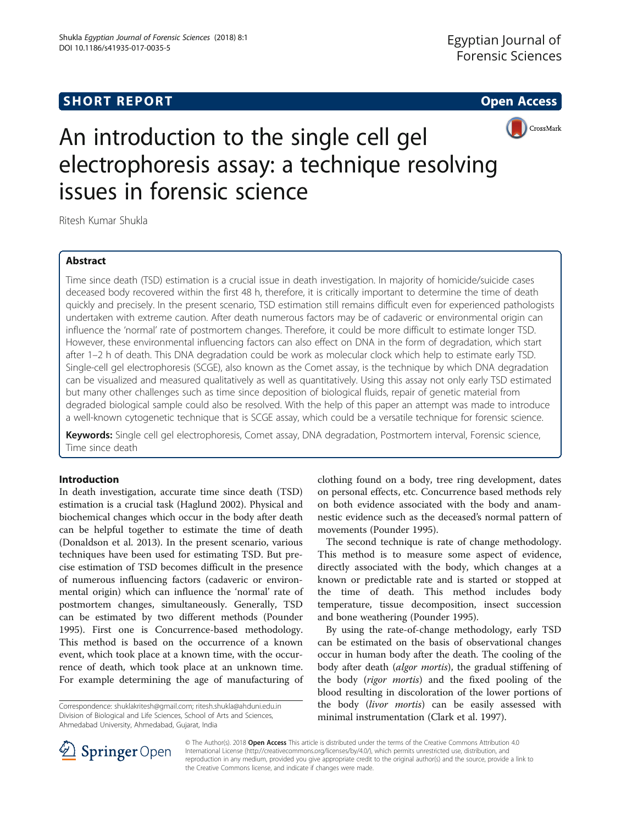# **SHORT REPORT SHORT CONSUMING THE SHORT CONSUMING THE SHORT CONSUMING THE SHORT CONSUMING THE SHORT CONSUMING THE SHORT CONSUMING THE SHORT CONSUMING THE SHORT CONSUMING THE SHORT CONSUMING THE SHORT CONSUMING THE SHORT**



# An introduction to the single cell gel electrophoresis assay: a technique resolving issues in forensic science

Ritesh Kumar Shukla

# Abstract

Time since death (TSD) estimation is a crucial issue in death investigation. In majority of homicide/suicide cases deceased body recovered within the first 48 h, therefore, it is critically important to determine the time of death quickly and precisely. In the present scenario, TSD estimation still remains difficult even for experienced pathologists undertaken with extreme caution. After death numerous factors may be of cadaveric or environmental origin can influence the 'normal' rate of postmortem changes. Therefore, it could be more difficult to estimate longer TSD. However, these environmental influencing factors can also effect on DNA in the form of degradation, which start after 1–2 h of death. This DNA degradation could be work as molecular clock which help to estimate early TSD. Single-cell gel electrophoresis (SCGE), also known as the Comet assay, is the technique by which DNA degradation can be visualized and measured qualitatively as well as quantitatively. Using this assay not only early TSD estimated but many other challenges such as time since deposition of biological fluids, repair of genetic material from degraded biological sample could also be resolved. With the help of this paper an attempt was made to introduce a well-known cytogenetic technique that is SCGE assay, which could be a versatile technique for forensic science.

Keywords: Single cell gel electrophoresis, Comet assay, DNA degradation, Postmortem interval, Forensic science, Time since death

# Introduction

In death investigation, accurate time since death (TSD) estimation is a crucial task (Haglund [2002\)](#page-6-0). Physical and biochemical changes which occur in the body after death can be helpful together to estimate the time of death (Donaldson et al. [2013\)](#page-6-0). In the present scenario, various techniques have been used for estimating TSD. But precise estimation of TSD becomes difficult in the presence of numerous influencing factors (cadaveric or environmental origin) which can influence the 'normal' rate of postmortem changes, simultaneously. Generally, TSD can be estimated by two different methods (Pounder [1995](#page-6-0)). First one is Concurrence-based methodology. This method is based on the occurrence of a known event, which took place at a known time, with the occurrence of death, which took place at an unknown time. For example determining the age of manufacturing of

Correspondence: [shuklakritesh@gmail.com](mailto:shuklakritesh@gmail.com); [ritesh.shukla@ahduni.edu.in](mailto:ritesh.shukla@ahduni.edu.in) Division of Biological and Life Sciences, School of Arts and Sciences, Ahmedabad University, Ahmedabad, Gujarat, India

clothing found on a body, tree ring development, dates on personal effects, etc. Concurrence based methods rely on both evidence associated with the body and anamnestic evidence such as the deceased's normal pattern of movements (Pounder [1995](#page-6-0)).

The second technique is rate of change methodology. This method is to measure some aspect of evidence, directly associated with the body, which changes at a known or predictable rate and is started or stopped at the time of death. This method includes body temperature, tissue decomposition, insect succession and bone weathering (Pounder [1995\)](#page-6-0).

By using the rate-of-change methodology, early TSD can be estimated on the basis of observational changes occur in human body after the death. The cooling of the body after death *(algor mortis)*, the gradual stiffening of the body (rigor mortis) and the fixed pooling of the blood resulting in discoloration of the lower portions of the body (livor mortis) can be easily assessed with minimal instrumentation (Clark et al. [1997\)](#page-6-0).



© The Author(s). 2018 Open Access This article is distributed under the terms of the Creative Commons Attribution 4.0 International License ([http://creativecommons.org/licenses/by/4.0/\)](http://creativecommons.org/licenses/by/4.0/), which permits unrestricted use, distribution, and reproduction in any medium, provided you give appropriate credit to the original author(s) and the source, provide a link to the Creative Commons license, and indicate if changes were made.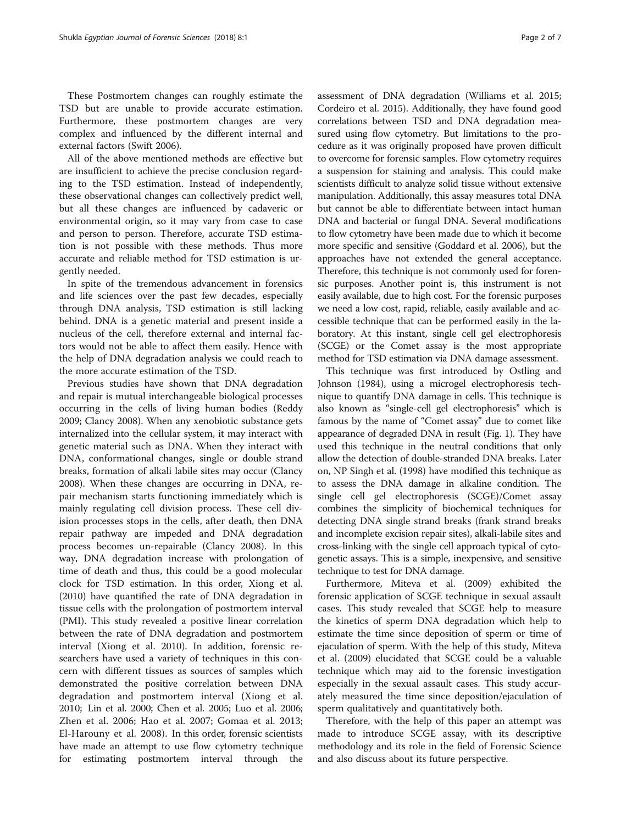These Postmortem changes can roughly estimate the TSD but are unable to provide accurate estimation. Furthermore, these postmortem changes are very complex and influenced by the different internal and external factors (Swift [2006\)](#page-6-0).

All of the above mentioned methods are effective but are insufficient to achieve the precise conclusion regarding to the TSD estimation. Instead of independently, these observational changes can collectively predict well, but all these changes are influenced by cadaveric or environmental origin, so it may vary from case to case and person to person. Therefore, accurate TSD estimation is not possible with these methods. Thus more accurate and reliable method for TSD estimation is urgently needed.

In spite of the tremendous advancement in forensics and life sciences over the past few decades, especially through DNA analysis, TSD estimation is still lacking behind. DNA is a genetic material and present inside a nucleus of the cell, therefore external and internal factors would not be able to affect them easily. Hence with the help of DNA degradation analysis we could reach to the more accurate estimation of the TSD.

Previous studies have shown that DNA degradation and repair is mutual interchangeable biological processes occurring in the cells of living human bodies (Reddy [2009](#page-6-0); Clancy [2008](#page-6-0)). When any xenobiotic substance gets internalized into the cellular system, it may interact with genetic material such as DNA. When they interact with DNA, conformational changes, single or double strand breaks, formation of alkali labile sites may occur (Clancy [2008](#page-6-0)). When these changes are occurring in DNA, repair mechanism starts functioning immediately which is mainly regulating cell division process. These cell division processes stops in the cells, after death, then DNA repair pathway are impeded and DNA degradation process becomes un-repairable (Clancy [2008](#page-6-0)). In this way, DNA degradation increase with prolongation of time of death and thus, this could be a good molecular clock for TSD estimation. In this order, Xiong et al. ([2010](#page-6-0)) have quantified the rate of DNA degradation in tissue cells with the prolongation of postmortem interval (PMI). This study revealed a positive linear correlation between the rate of DNA degradation and postmortem interval (Xiong et al. [2010](#page-6-0)). In addition, forensic researchers have used a variety of techniques in this concern with different tissues as sources of samples which demonstrated the positive correlation between DNA degradation and postmortem interval (Xiong et al. [2010;](#page-6-0) Lin et al. [2000;](#page-6-0) Chen et al. [2005](#page-6-0); Luo et al. [2006](#page-6-0); Zhen et al. [2006](#page-6-0); Hao et al. [2007](#page-6-0); Gomaa et al. [2013](#page-6-0); El-Harouny et al. [2008](#page-6-0)). In this order, forensic scientists have made an attempt to use flow cytometry technique for estimating postmortem interval through the

assessment of DNA degradation (Williams et al. [2015](#page-6-0); Cordeiro et al. [2015](#page-6-0)). Additionally, they have found good correlations between TSD and DNA degradation measured using flow cytometry. But limitations to the procedure as it was originally proposed have proven difficult to overcome for forensic samples. Flow cytometry requires a suspension for staining and analysis. This could make scientists difficult to analyze solid tissue without extensive manipulation. Additionally, this assay measures total DNA but cannot be able to differentiate between intact human DNA and bacterial or fungal DNA. Several modifications to flow cytometry have been made due to which it become more specific and sensitive (Goddard et al. [2006\)](#page-6-0), but the approaches have not extended the general acceptance. Therefore, this technique is not commonly used for forensic purposes. Another point is, this instrument is not easily available, due to high cost. For the forensic purposes we need a low cost, rapid, reliable, easily available and accessible technique that can be performed easily in the laboratory. At this instant, single cell gel electrophoresis (SCGE) or the Comet assay is the most appropriate method for TSD estimation via DNA damage assessment.

This technique was first introduced by Ostling and Johnson ([1984](#page-6-0)), using a microgel electrophoresis technique to quantify DNA damage in cells. This technique is also known as "single-cell gel electrophoresis" which is famous by the name of "Comet assay" due to comet like appearance of degraded DNA in result (Fig. [1\)](#page-2-0). They have used this technique in the neutral conditions that only allow the detection of double-stranded DNA breaks. Later on, NP Singh et al. [\(1998](#page-6-0)) have modified this technique as to assess the DNA damage in alkaline condition. The single cell gel electrophoresis (SCGE)/Comet assay combines the simplicity of biochemical techniques for detecting DNA single strand breaks (frank strand breaks and incomplete excision repair sites), alkali-labile sites and cross-linking with the single cell approach typical of cytogenetic assays. This is a simple, inexpensive, and sensitive technique to test for DNA damage.

Furthermore, Miteva et al. ([2009](#page-6-0)) exhibited the forensic application of SCGE technique in sexual assault cases. This study revealed that SCGE help to measure the kinetics of sperm DNA degradation which help to estimate the time since deposition of sperm or time of ejaculation of sperm. With the help of this study, Miteva et al. [\(2009\)](#page-6-0) elucidated that SCGE could be a valuable technique which may aid to the forensic investigation especially in the sexual assault cases. This study accurately measured the time since deposition/ejaculation of sperm qualitatively and quantitatively both.

Therefore, with the help of this paper an attempt was made to introduce SCGE assay, with its descriptive methodology and its role in the field of Forensic Science and also discuss about its future perspective.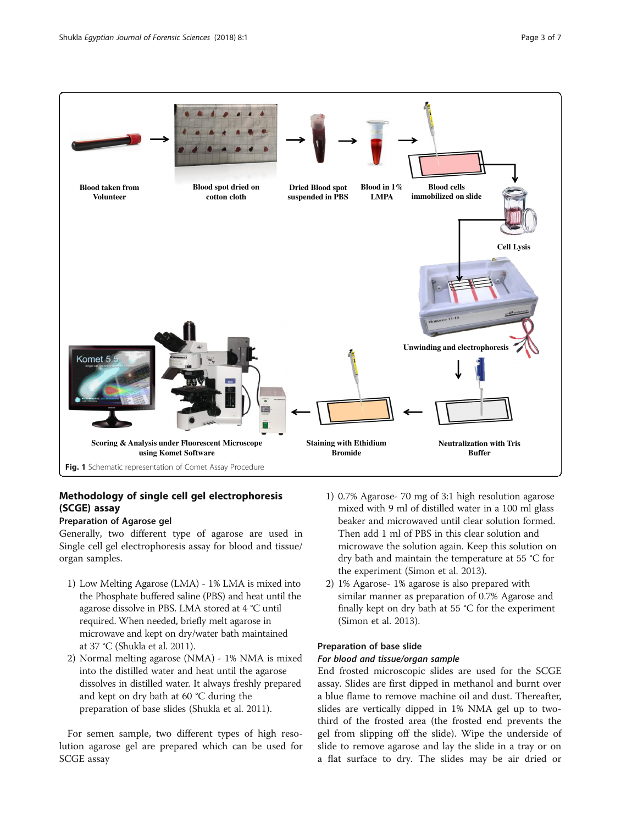<span id="page-2-0"></span>

# Methodology of single cell gel electrophoresis (SCGE) assay

# Preparation of Agarose gel

Generally, two different type of agarose are used in Single cell gel electrophoresis assay for blood and tissue/ organ samples.

- 1) Low Melting Agarose (LMA) 1% LMA is mixed into the Phosphate buffered saline (PBS) and heat until the agarose dissolve in PBS. LMA stored at 4 °C until required. When needed, briefly melt agarose in microwave and kept on dry/water bath maintained at 37 °C (Shukla et al. [2011](#page-6-0)).
- 2) Normal melting agarose (NMA) 1% NMA is mixed into the distilled water and heat until the agarose dissolves in distilled water. It always freshly prepared and kept on dry bath at 60 °C during the preparation of base slides (Shukla et al. [2011\)](#page-6-0).

For semen sample, two different types of high resolution agarose gel are prepared which can be used for SCGE assay

- 1) 0.7% Agarose- 70 mg of 3:1 high resolution agarose mixed with 9 ml of distilled water in a 100 ml glass beaker and microwaved until clear solution formed. Then add 1 ml of PBS in this clear solution and microwave the solution again. Keep this solution on dry bath and maintain the temperature at 55 °C for the experiment (Simon et al. [2013\)](#page-6-0).
- 2) 1% Agarose- 1% agarose is also prepared with similar manner as preparation of 0.7% Agarose and finally kept on dry bath at 55 °C for the experiment (Simon et al. [2013\)](#page-6-0).

# Preparation of base slide

# For blood and tissue/organ sample

End frosted microscopic slides are used for the SCGE assay. Slides are first dipped in methanol and burnt over a blue flame to remove machine oil and dust. Thereafter, slides are vertically dipped in 1% NMA gel up to twothird of the frosted area (the frosted end prevents the gel from slipping off the slide). Wipe the underside of slide to remove agarose and lay the slide in a tray or on a flat surface to dry. The slides may be air dried or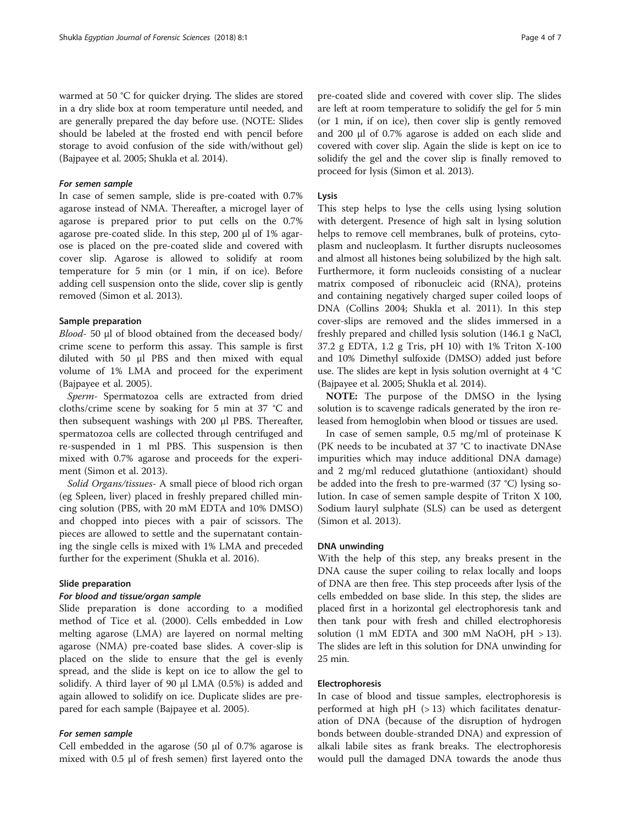warmed at 50 °C for quicker drying. The slides are stored in a dry slide box at room temperature until needed, and are generally prepared the day before use. (NOTE: Slides should be labeled at the frosted end with pencil before storage to avoid confusion of the side with/without gel) (Bajpayee et al. [2005](#page-6-0); Shukla et al. [2014](#page-6-0)).

#### For semen sample

In case of semen sample, slide is pre-coated with 0.7% agarose instead of NMA. Thereafter, a microgel layer of agarose is prepared prior to put cells on the 0.7% agarose pre-coated slide. In this step, 200 μl of 1% agarose is placed on the pre-coated slide and covered with cover slip. Agarose is allowed to solidify at room temperature for 5 min (or 1 min, if on ice). Before adding cell suspension onto the slide, cover slip is gently removed (Simon et al. [2013\)](#page-6-0).

#### Sample preparation

Blood- 50 μl of blood obtained from the deceased body/ crime scene to perform this assay. This sample is first diluted with 50 μl PBS and then mixed with equal volume of 1% LMA and proceed for the experiment (Bajpayee et al. [2005\)](#page-6-0).

Sperm- Spermatozoa cells are extracted from dried cloths/crime scene by soaking for 5 min at 37 °C and then subsequent washings with 200 μl PBS. Thereafter, spermatozoa cells are collected through centrifuged and re-suspended in 1 ml PBS. This suspension is then mixed with 0.7% agarose and proceeds for the experiment (Simon et al. [2013](#page-6-0)).

Solid Organs/tissues- A small piece of blood rich organ (eg Spleen, liver) placed in freshly prepared chilled mincing solution (PBS, with 20 mM EDTA and 10% DMSO) and chopped into pieces with a pair of scissors. The pieces are allowed to settle and the supernatant containing the single cells is mixed with 1% LMA and preceded further for the experiment (Shukla et al. [2016](#page-6-0)).

#### Slide preparation

# For blood and tissue/organ sample

Slide preparation is done according to a modified method of Tice et al. [\(2000\)](#page-6-0). Cells embedded in Low melting agarose (LMA) are layered on normal melting agarose (NMA) pre-coated base slides. A cover-slip is placed on the slide to ensure that the gel is evenly spread, and the slide is kept on ice to allow the gel to solidify. A third layer of 90 μl LMA (0.5%) is added and again allowed to solidify on ice. Duplicate slides are prepared for each sample (Bajpayee et al. [2005\)](#page-6-0).

#### For semen sample

Cell embedded in the agarose  $(50 \mu)$  of 0.7% agarose is mixed with 0.5 μl of fresh semen) first layered onto the pre-coated slide and covered with cover slip. The slides are left at room temperature to solidify the gel for 5 min (or 1 min, if on ice), then cover slip is gently removed and 200 μl of 0.7% agarose is added on each slide and covered with cover slip. Again the slide is kept on ice to solidify the gel and the cover slip is finally removed to proceed for lysis (Simon et al. [2013](#page-6-0)).

#### Lysis

This step helps to lyse the cells using lysing solution with detergent. Presence of high salt in lysing solution helps to remove cell membranes, bulk of proteins, cytoplasm and nucleoplasm. It further disrupts nucleosomes and almost all histones being solubilized by the high salt. Furthermore, it form nucleoids consisting of a nuclear matrix composed of ribonucleic acid (RNA), proteins and containing negatively charged super coiled loops of DNA (Collins [2004;](#page-6-0) Shukla et al. [2011\)](#page-6-0). In this step cover-slips are removed and the slides immersed in a freshly prepared and chilled lysis solution (146.1 g NaCl, 37.2 g EDTA, 1.2 g Tris, pH 10) with 1% Triton X-100 and 10% Dimethyl sulfoxide (DMSO) added just before use. The slides are kept in lysis solution overnight at 4 °C (Bajpayee et al. [2005](#page-6-0); Shukla et al. [2014](#page-6-0)).

NOTE: The purpose of the DMSO in the lysing solution is to scavenge radicals generated by the iron released from hemoglobin when blood or tissues are used.

In case of semen sample, 0.5 mg/ml of proteinase K (PK needs to be incubated at 37 °C to inactivate DNAse impurities which may induce additional DNA damage) and 2 mg/ml reduced glutathione (antioxidant) should be added into the fresh to pre-warmed (37 °C) lysing solution. In case of semen sample despite of Triton X 100, Sodium lauryl sulphate (SLS) can be used as detergent (Simon et al. [2013](#page-6-0)).

#### DNA unwinding

With the help of this step, any breaks present in the DNA cause the super coiling to relax locally and loops of DNA are then free. This step proceeds after lysis of the cells embedded on base slide. In this step, the slides are placed first in a horizontal gel electrophoresis tank and then tank pour with fresh and chilled electrophoresis solution (1 mM EDTA and 300 mM NaOH,  $pH > 13$ ). The slides are left in this solution for DNA unwinding for 25 min.

#### Electrophoresis

In case of blood and tissue samples, electrophoresis is performed at high pH  $(>13)$  which facilitates denaturation of DNA (because of the disruption of hydrogen bonds between double-stranded DNA) and expression of alkali labile sites as frank breaks. The electrophoresis would pull the damaged DNA towards the anode thus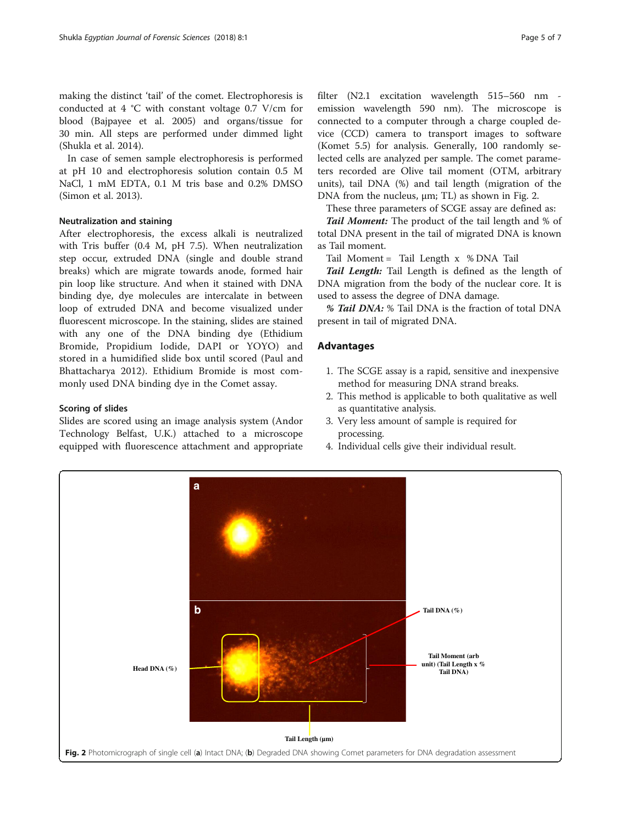making the distinct 'tail' of the comet. Electrophoresis is conducted at 4 °C with constant voltage 0.7 V/cm for blood (Bajpayee et al. [2005\)](#page-6-0) and organs/tissue for 30 min. All steps are performed under dimmed light (Shukla et al. [2014](#page-6-0)).

In case of semen sample electrophoresis is performed at pH 10 and electrophoresis solution contain 0.5 M NaCl, 1 mM EDTA, 0.1 M tris base and 0.2% DMSO (Simon et al. [2013](#page-6-0)).

#### Neutralization and staining

After electrophoresis, the excess alkali is neutralized with Tris buffer (0.4 M, pH 7.5). When neutralization step occur, extruded DNA (single and double strand breaks) which are migrate towards anode, formed hair pin loop like structure. And when it stained with DNA binding dye, dye molecules are intercalate in between loop of extruded DNA and become visualized under fluorescent microscope. In the staining, slides are stained with any one of the DNA binding dye (Ethidium Bromide, Propidium Iodide, DAPI or YOYO) and stored in a humidified slide box until scored (Paul and Bhattacharya [2012\)](#page-6-0). Ethidium Bromide is most commonly used DNA binding dye in the Comet assay.

#### Scoring of slides

Slides are scored using an image analysis system (Andor Technology Belfast, U.K.) attached to a microscope equipped with fluorescence attachment and appropriate filter (N2.1 excitation wavelength 515–560 nm emission wavelength 590 nm). The microscope is connected to a computer through a charge coupled device (CCD) camera to transport images to software (Komet 5.5) for analysis. Generally, 100 randomly selected cells are analyzed per sample. The comet parameters recorded are Olive tail moment (OTM, arbitrary units), tail DNA (%) and tail length (migration of the DNA from the nucleus, μm; TL) as shown in Fig. 2.

These three parameters of SCGE assay are defined as:

Tail Moment: The product of the tail length and % of total DNA present in the tail of migrated DNA is known as Tail moment.

Tail Moment = Tail Length x % DNA Tail

Tail Length: Tail Length is defined as the length of DNA migration from the body of the nuclear core. It is used to assess the degree of DNA damage.

% Tail DNA: % Tail DNA is the fraction of total DNA present in tail of migrated DNA.

# Advantages

- 1. The SCGE assay is a rapid, sensitive and inexpensive method for measuring DNA strand breaks.
- 2. This method is applicable to both qualitative as well as quantitative analysis.
- 3. Very less amount of sample is required for processing.
- 4. Individual cells give their individual result.

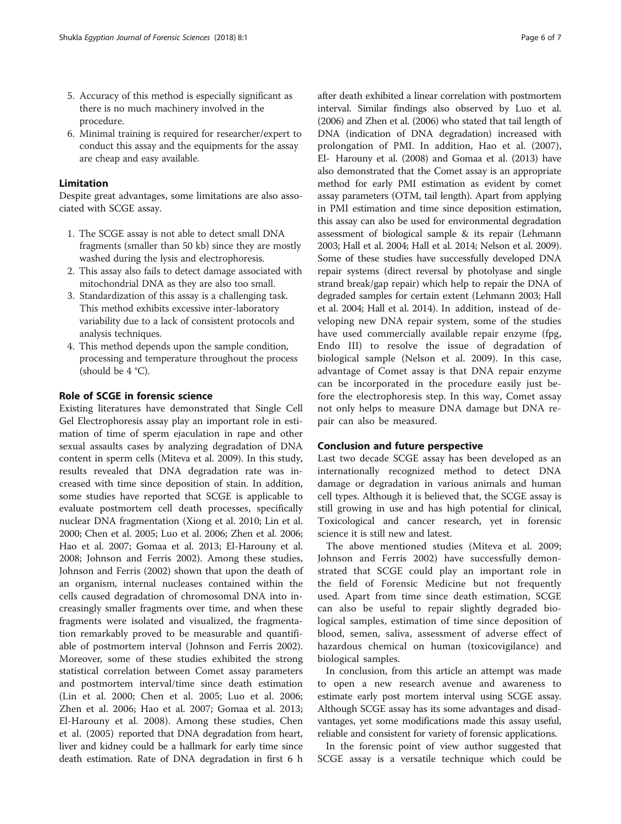- 5. Accuracy of this method is especially significant as there is no much machinery involved in the procedure.
- 6. Minimal training is required for researcher/expert to conduct this assay and the equipments for the assay are cheap and easy available.

### Limitation

Despite great advantages, some limitations are also associated with SCGE assay.

- 1. The SCGE assay is not able to detect small DNA fragments (smaller than 50 kb) since they are mostly washed during the lysis and electrophoresis.
- 2. This assay also fails to detect damage associated with mitochondrial DNA as they are also too small.
- 3. Standardization of this assay is a challenging task. This method exhibits excessive inter-laboratory variability due to a lack of consistent protocols and analysis techniques.
- 4. This method depends upon the sample condition, processing and temperature throughout the process (should be  $4 °C$ ).

#### Role of SCGE in forensic science

Existing literatures have demonstrated that Single Cell Gel Electrophoresis assay play an important role in estimation of time of sperm ejaculation in rape and other sexual assaults cases by analyzing degradation of DNA content in sperm cells (Miteva et al. [2009](#page-6-0)). In this study, results revealed that DNA degradation rate was increased with time since deposition of stain. In addition, some studies have reported that SCGE is applicable to evaluate postmortem cell death processes, specifically nuclear DNA fragmentation (Xiong et al. [2010;](#page-6-0) Lin et al. [2000](#page-6-0); Chen et al. [2005](#page-6-0); Luo et al. [2006](#page-6-0); Zhen et al. [2006](#page-6-0); Hao et al. [2007;](#page-6-0) Gomaa et al. [2013](#page-6-0); El-Harouny et al. [2008](#page-6-0); Johnson and Ferris [2002\)](#page-6-0). Among these studies, Johnson and Ferris [\(2002\)](#page-6-0) shown that upon the death of an organism, internal nucleases contained within the cells caused degradation of chromosomal DNA into increasingly smaller fragments over time, and when these fragments were isolated and visualized, the fragmentation remarkably proved to be measurable and quantifiable of postmortem interval (Johnson and Ferris [2002](#page-6-0)). Moreover, some of these studies exhibited the strong statistical correlation between Comet assay parameters and postmortem interval/time since death estimation (Lin et al. [2000](#page-6-0); Chen et al. [2005;](#page-6-0) Luo et al. [2006](#page-6-0); Zhen et al. [2006](#page-6-0); Hao et al. [2007](#page-6-0); Gomaa et al. [2013](#page-6-0); El-Harouny et al. [2008](#page-6-0)). Among these studies, Chen et al. ([2005](#page-6-0)) reported that DNA degradation from heart, liver and kidney could be a hallmark for early time since death estimation. Rate of DNA degradation in first 6 h

after death exhibited a linear correlation with postmortem interval. Similar findings also observed by Luo et al. ([2006](#page-6-0)) and Zhen et al. ([2006\)](#page-6-0) who stated that tail length of DNA (indication of DNA degradation) increased with prolongation of PMI. In addition, Hao et al. [\(2007](#page-6-0)), El- Harouny et al. ([2008\)](#page-6-0) and Gomaa et al. [\(2013](#page-6-0)) have also demonstrated that the Comet assay is an appropriate method for early PMI estimation as evident by comet assay parameters (OTM, tail length). Apart from applying in PMI estimation and time since deposition estimation, this assay can also be used for environmental degradation assessment of biological sample & its repair (Lehmann [2003;](#page-6-0) Hall et al. [2004;](#page-6-0) Hall et al. [2014;](#page-6-0) Nelson et al. [2009](#page-6-0)). Some of these studies have successfully developed DNA repair systems (direct reversal by photolyase and single strand break/gap repair) which help to repair the DNA of degraded samples for certain extent (Lehmann [2003](#page-6-0); Hall et al. [2004](#page-6-0); Hall et al. [2014\)](#page-6-0). In addition, instead of developing new DNA repair system, some of the studies have used commercially available repair enzyme (fpg, Endo III) to resolve the issue of degradation of biological sample (Nelson et al. [2009](#page-6-0)). In this case, advantage of Comet assay is that DNA repair enzyme can be incorporated in the procedure easily just before the electrophoresis step. In this way, Comet assay not only helps to measure DNA damage but DNA repair can also be measured.

#### Conclusion and future perspective

Last two decade SCGE assay has been developed as an internationally recognized method to detect DNA damage or degradation in various animals and human cell types. Although it is believed that, the SCGE assay is still growing in use and has high potential for clinical, Toxicological and cancer research, yet in forensic science it is still new and latest.

The above mentioned studies (Miteva et al. [2009](#page-6-0); Johnson and Ferris [2002\)](#page-6-0) have successfully demonstrated that SCGE could play an important role in the field of Forensic Medicine but not frequently used. Apart from time since death estimation, SCGE can also be useful to repair slightly degraded biological samples, estimation of time since deposition of blood, semen, saliva, assessment of adverse effect of hazardous chemical on human (toxicovigilance) and biological samples.

In conclusion, from this article an attempt was made to open a new research avenue and awareness to estimate early post mortem interval using SCGE assay. Although SCGE assay has its some advantages and disadvantages, yet some modifications made this assay useful, reliable and consistent for variety of forensic applications.

In the forensic point of view author suggested that SCGE assay is a versatile technique which could be